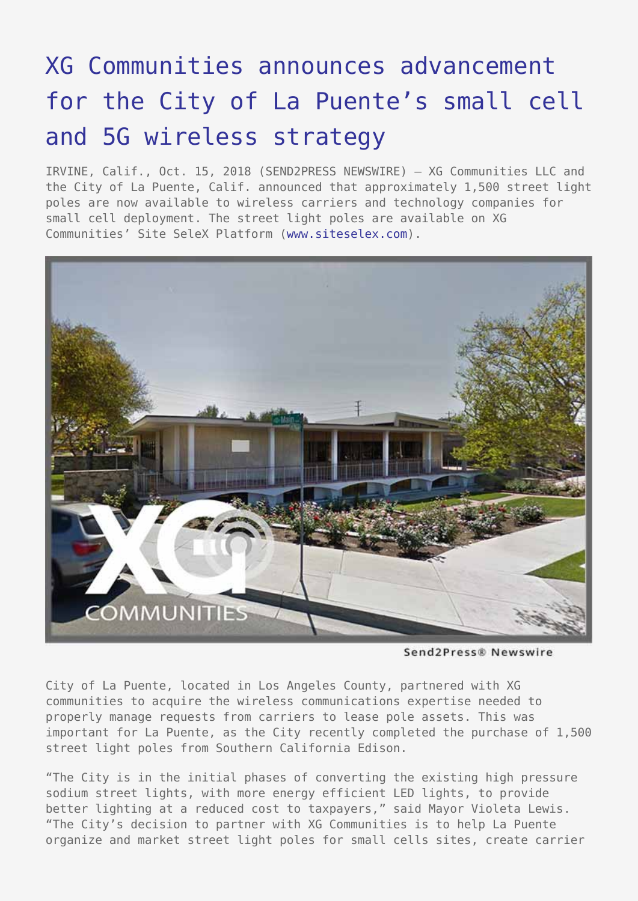## [XG Communities announces advancement](https://www.send2press.com/wire/xg-communities-announces-advancement-for-the-city-of-la-puentes-small-cell-and-5g-wireless-strategy/) [for the City of La Puente's small cell](https://www.send2press.com/wire/xg-communities-announces-advancement-for-the-city-of-la-puentes-small-cell-and-5g-wireless-strategy/) [and 5G wireless strategy](https://www.send2press.com/wire/xg-communities-announces-advancement-for-the-city-of-la-puentes-small-cell-and-5g-wireless-strategy/)

IRVINE, Calif., Oct. 15, 2018 (SEND2PRESS NEWSWIRE) — XG Communities LLC and the City of La Puente, Calif. announced that approximately 1,500 street light poles are now available to wireless carriers and technology companies for small cell deployment. The street light poles are available on XG Communities' Site SeleX Platform ([www.siteselex.com](http://www.siteselex.com)).



Send2Press® Newswire

City of La Puente, located in Los Angeles County, partnered with XG communities to acquire the wireless communications expertise needed to properly manage requests from carriers to lease pole assets. This was important for La Puente, as the City recently completed the purchase of 1,500 street light poles from Southern California Edison.

"The City is in the initial phases of converting the existing high pressure sodium street lights, with more energy efficient LED lights, to provide better lighting at a reduced cost to taxpayers," said Mayor Violeta Lewis. "The City's decision to partner with XG Communities is to help La Puente organize and market street light poles for small cells sites, create carrier